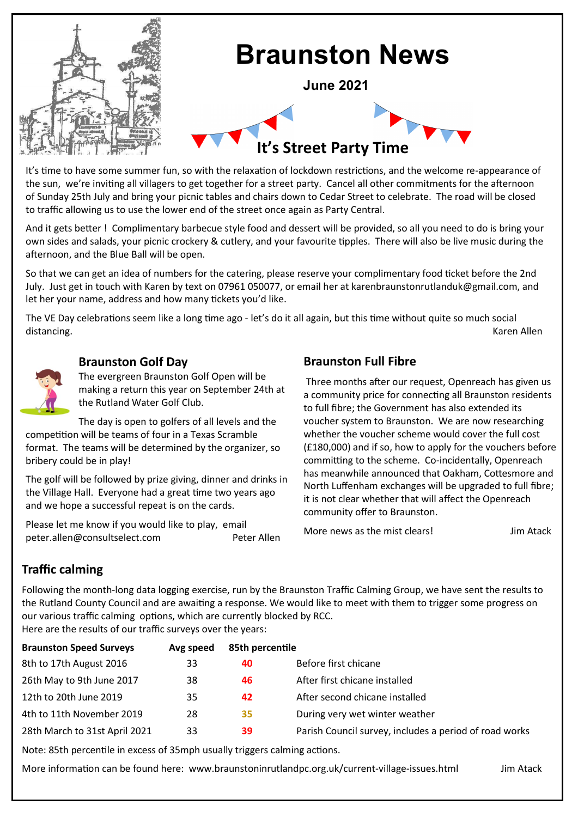

It's time to have some summer fun, so with the relaxation of lockdown restrictions, and the welcome re-appearance of the sun, we're inviting all villagers to get together for a street party. Cancel all other commitments for the afternoon of Sunday 25th July and bring your picnic tables and chairs down to Cedar Street to celebrate. The road will be closed to traffic allowing us to use the lower end of the street once again as Party Central.

And it gets better ! Complimentary barbecue style food and dessert will be provided, so all you need to do is bring your own sides and salads, your picnic crockery & cutlery, and your favourite tipples. There will also be live music during the afternoon, and the Blue Ball will be open.

So that we can get an idea of numbers for the catering, please reserve your complimentary food ticket before the 2nd July. Just get in touch with Karen by text on 07961 050077, or email her at karenbraunstonrutlanduk@gmail.com, and let her your name, address and how many tickets you'd like.

The VE Day celebrations seem like a long time ago - let's do it all again, but this time without quite so much social distancing. Karen Allen



#### **Braunston Golf Day**

The evergreen Braunston Golf Open will be making a return this year on September 24th at the Rutland Water Golf Club.

The day is open to golfers of all levels and the competition will be teams of four in a Texas Scramble format. The teams will be determined by the organizer, so bribery could be in play!

The golf will be followed by prize giving, dinner and drinks in the Village Hall. Everyone had a great time two years ago and we hope a successful repeat is on the cards.

Please let me know if you would like to play, email peter.allen@consultselect.com Peter Allen

# **Braunston Full Fibre**

Three months after our request, Openreach has given us a community price for connecting all Braunston residents to full fibre; the Government has also extended its voucher system to Braunston. We are now researching whether the voucher scheme would cover the full cost (£180,000) and if so, how to apply for the vouchers before committing to the scheme. Co-incidentally, Openreach has meanwhile announced that Oakham, Cottesmore and North Luffenham exchanges will be upgraded to full fibre; it is not clear whether that will affect the Openreach community offer to Braunston.

More news as the mist clears!<br>
yim Atack

## **Traffic calming**

Following the month-long data logging exercise, run by the Braunston Traffic Calming Group, we have sent the results to the Rutland County Council and are awaiting a response. We would like to meet with them to trigger some progress on our various traffic calming options, which are currently blocked by RCC.

Here are the results of our traffic surveys over the years:

| <b>Braunston Speed Surveys</b> | Avg speed | 85th percentile |                                                        |
|--------------------------------|-----------|-----------------|--------------------------------------------------------|
| 8th to 17th August 2016        | 33        | 40              | Before first chicane                                   |
| 26th May to 9th June 2017      | 38        | 46              | After first chicane installed                          |
| 12th to 20th June 2019         | 35        | 42              | After second chicane installed                         |
| 4th to 11th November 2019      | 28        | 35              | During very wet winter weather                         |
| 28th March to 31st April 2021  | 33        | 39              | Parish Council survey, includes a period of road works |

Note: 85th percentile in excess of 35mph usually triggers calming actions.

More information can be found here: www.braunstoninrutlandpc.org.uk/current-village-issues.html Jim Atack